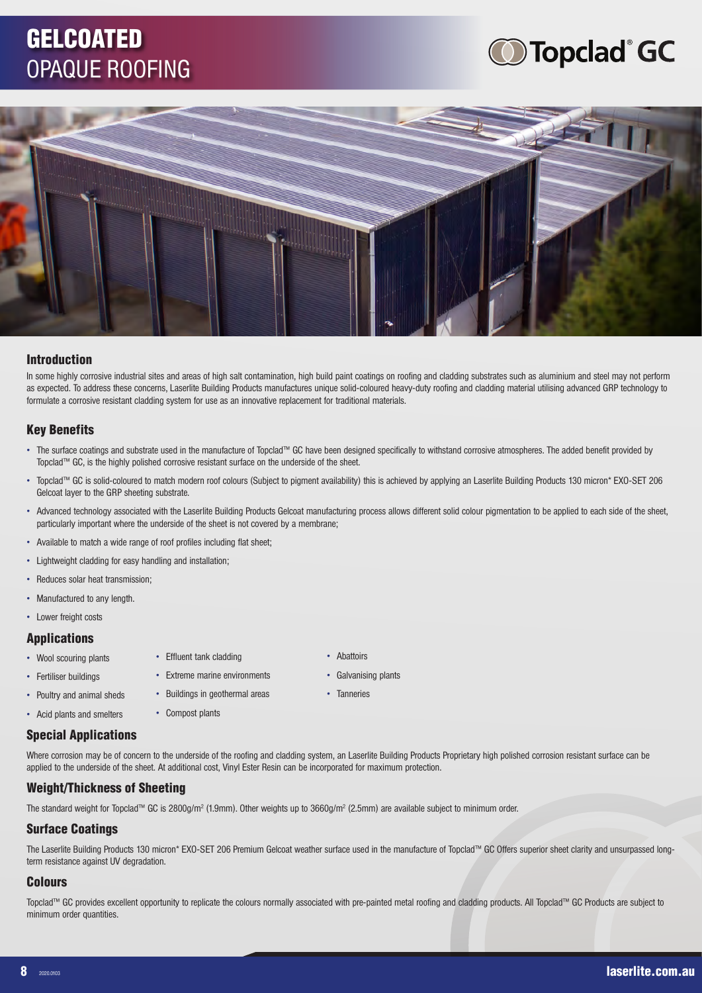### **GELCOATED** OPAQUE ROOFING

# **Topclad GC**



### Introduction

In some highly corrosive industrial sites and areas of high salt contamination, high build paint coatings on roofing and cladding substrates such as aluminium and steel may not perform as expected. To address these concerns, Laserlite Building Products manufactures unique solid-coloured heavy-duty roofing and cladding material utilising advanced GRP technology to formulate a corrosive resistant cladding system for use as an innovative replacement for traditional materials.

### Key Benefits

- The surface coatings and substrate used in the manufacture of Topclad™ GC have been designed specifically to withstand corrosive atmospheres. The added benefit provided by Topclad™ GC, is the highly polished corrosive resistant surface on the underside of the sheet.
- Topclad™ GC is solid-coloured to match modern roof colours (Subject to pigment availability) this is achieved by applying an Laserlite Building Products 130 micron\* EXO-SET 206 Gelcoat layer to the GRP sheeting substrate.
- Advanced technology associated with the Laserlite Building Products Gelcoat manufacturing process allows different solid colour pigmentation to be applied to each side of the sheet, particularly important where the underside of the sheet is not covered by a membrane;
- Available to match a wide range of roof profiles including flat sheet;
- Lightweight cladding for easy handling and installation;
- Reduces solar heat transmission;
- Manufactured to any length.
- Lower freight costs

#### Applications

- Wool scouring plants
- Fertiliser buildings
- Poultry and animal sheds • Acid plants and smelters
- Compost plants

• Effluent tank cladding • Extreme marine environments • Buildings in geothermal areas

• Abattoirs

• Tanneries

• Galvanising plants

### Special Applications

Where corrosion may be of concern to the underside of the roofing and cladding system, an Laserlite Building Products Proprietary high polished corrosion resistant surface can be applied to the underside of the sheet. At additional cost, Vinyl Ester Resin can be incorporated for maximum protection.

### Weight/Thickness of Sheeting

The standard weight for Topclad™ GC is 2800g/m<sup>2</sup> (1.9mm). Other weights up to 3660g/m<sup>2</sup> (2.5mm) are available subject to minimum order.

#### Surface Coatings

The Laserlite Building Products 130 micron\* EXO-SET 206 Premium Gelcoat weather surface used in the manufacture of Topclad™ GC Offers superior sheet clarity and unsurpassed longterm resistance against UV degradation.

### **Colours**

Topclad™ GC provides excellent opportunity to replicate the colours normally associated with pre-painted metal roofing and cladding products. All Topclad™ GC Products are subject to minimum order quantities.